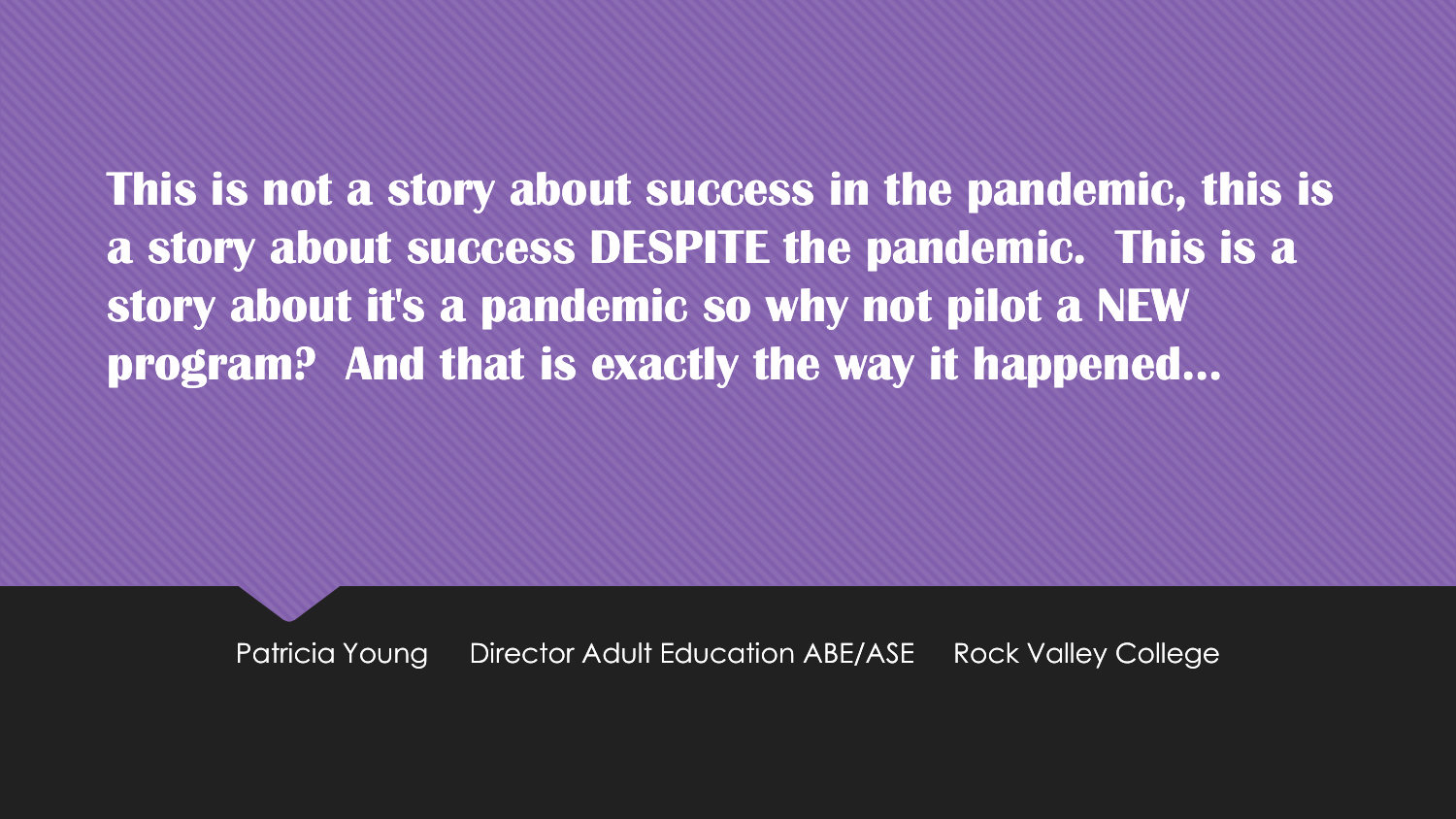**This is not a story about success in the pandemic, this is a story about success DESPITE the pandemic. This is a story about it's a pandemic so why not pilot a NEW program? And that is exactly the way it happened...**

Patricia Young Director Adult Education ABE/ASE Rock Valley College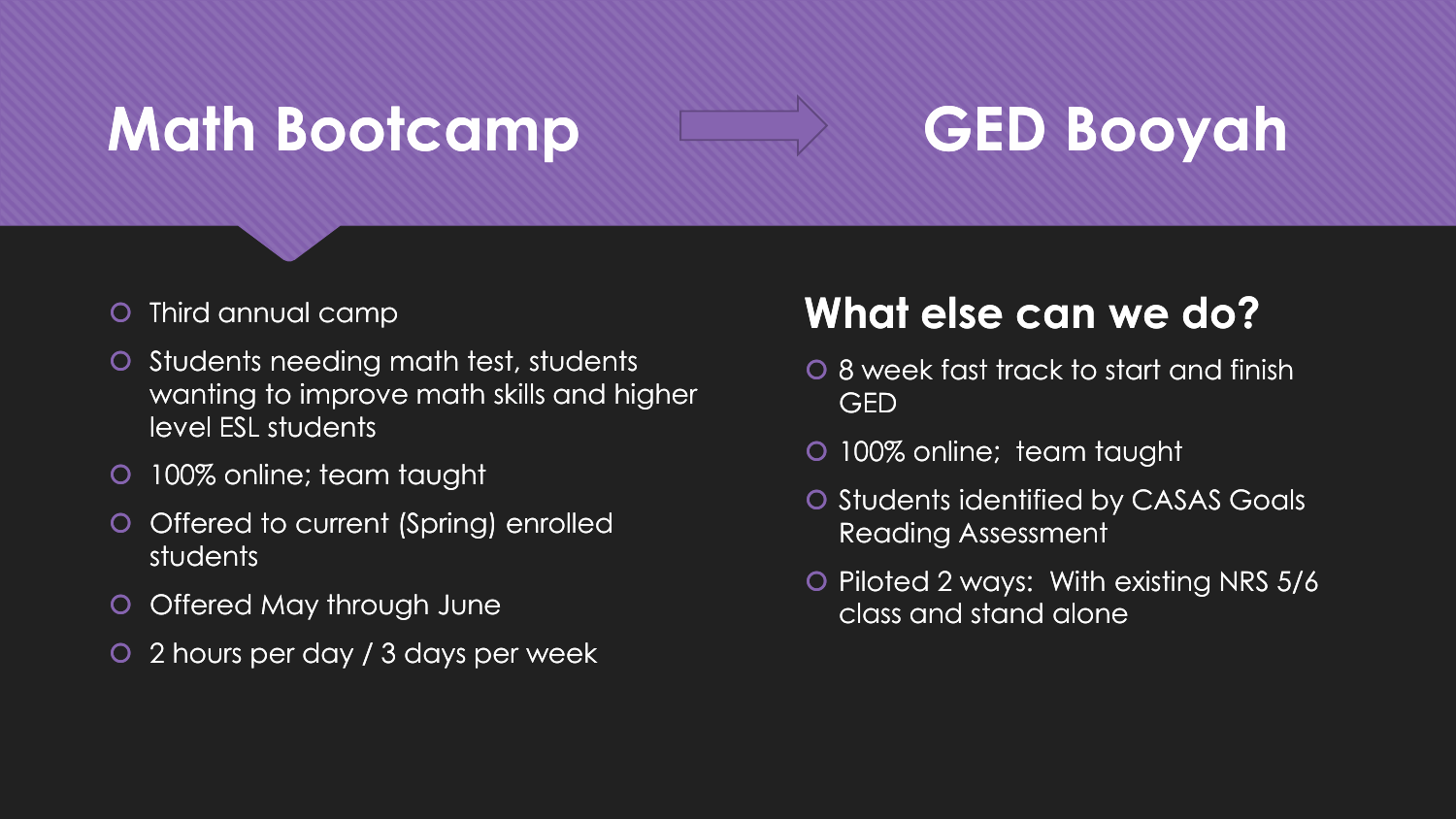# **Math Bootcamp GED Booyah**

- O Third annual camp
- O Students needing math test, students wanting to improve math skills and higher level ESL students
- **0 100% online; team taught**
- O Offered to current (Spring) enrolled students
- O Offered May through June
- 2 hours per day / 3 days per week

### **What else can we do?**

- 8 week fast track to start and finish GED
- 100% online; team taught
- O Students identified by CASAS Goals Reading Assessment
- O Piloted 2 ways: With existing NRS 5/6 class and stand alone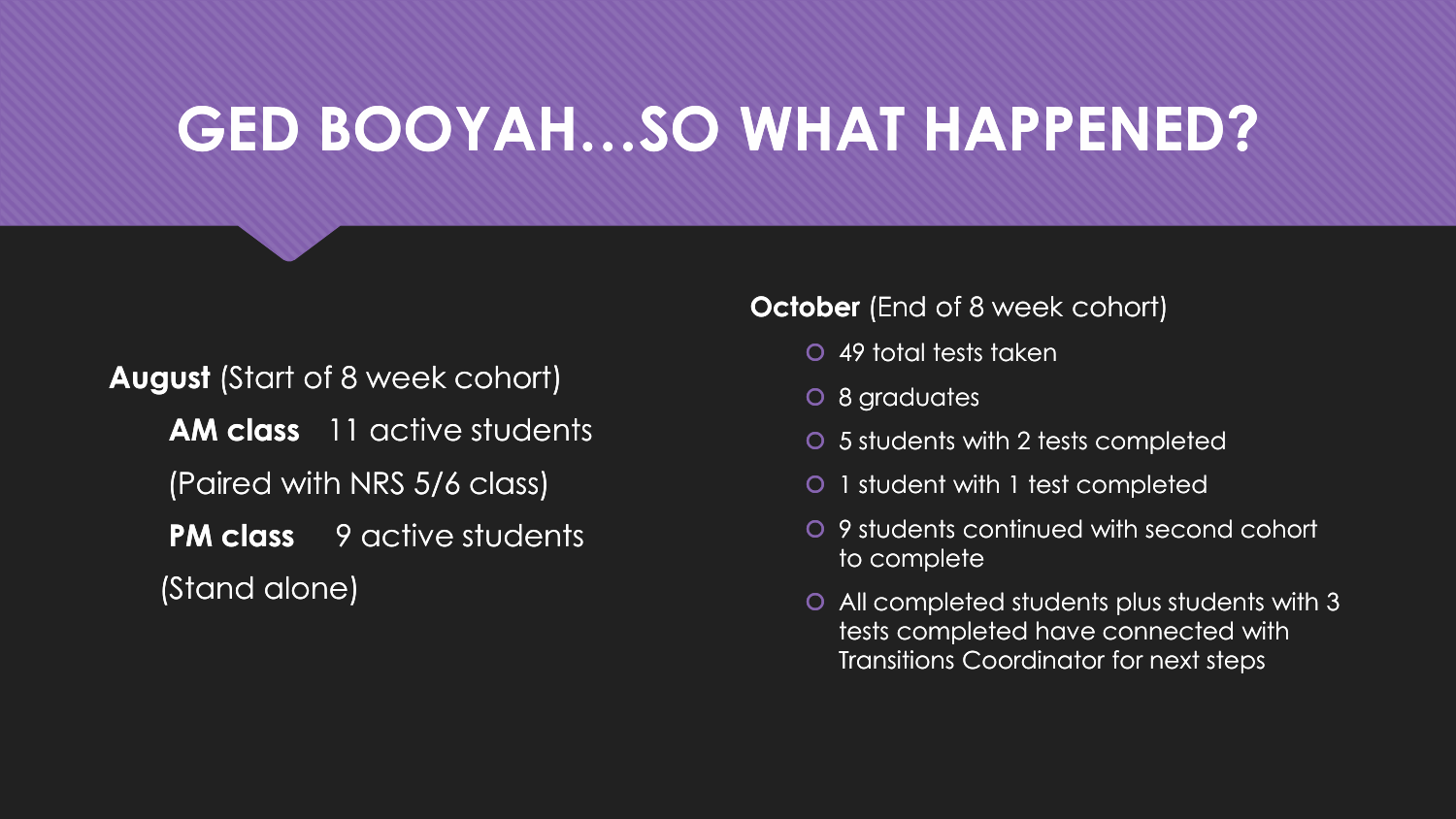# **GED BOOYAH…SO WHAT HAPPENED?**

**August** (Start of 8 week cohort)

**AM class** 11 active students (Paired with NRS 5/6 class)

**PM class** 9 active students (Stand alone)

#### **October** (End of 8 week cohort)

- 49 total tests taken
- 8 graduates
- 5 students with 2 tests completed
- 1 student with 1 test completed
- 9 students continued with second cohort to complete
- All completed students plus students with 3 tests completed have connected with Transitions Coordinator for next steps